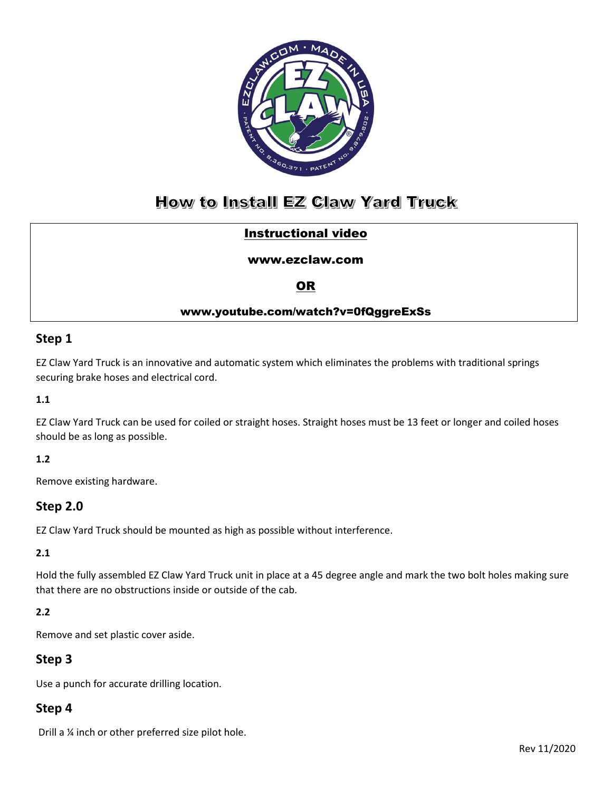

# How to Install EZ Claw Yard Truck

## Instructional video

#### [www.ezclaw.com](http://www.ezclaw.com/)

### OR

### www.youtube.com/watch?v=0fQggreExSs

### **Step 1**

EZ Claw Yard Truck is an innovative and automatic system which eliminates the problems with traditional springs securing brake hoses and electrical cord.

#### **1.1**

EZ Claw Yard Truck can be used for coiled or straight hoses. Straight hoses must be 13 feet or longer and coiled hoses should be as long as possible.

#### **1.2**

Remove existing hardware.

### **Step 2.0**

EZ Claw Yard Truck should be mounted as high as possible without interference.

#### **2.1**

Hold the fully assembled EZ Claw Yard Truck unit in place at a 45 degree angle and mark the two bolt holes making sure that there are no obstructions inside or outside of the cab.

#### **2.2**

Remove and set plastic cover aside.

### **Step 3**

Use a punch for accurate drilling location.

### **Step 4**

Drill a ¼ inch or other preferred size pilot hole.